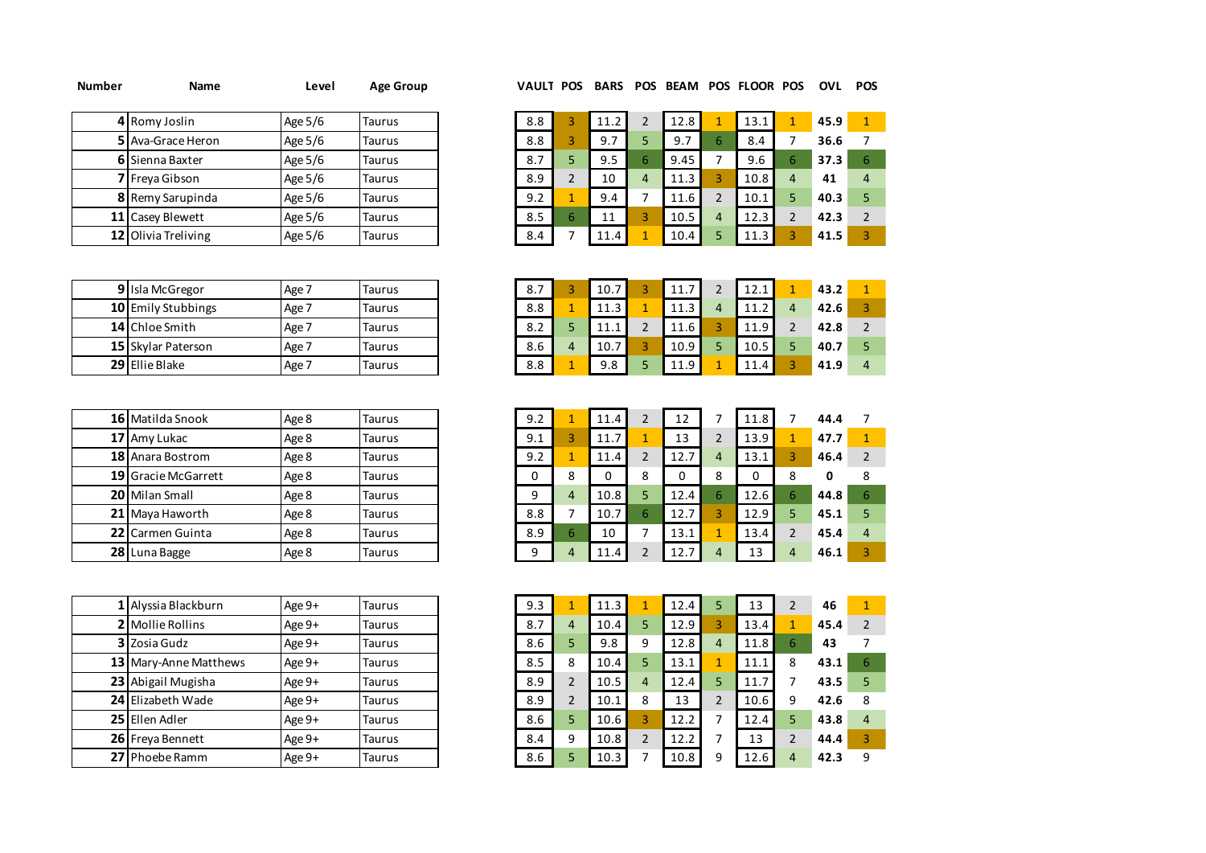| Number | Name |  | Level Age Group |  |  |  |  |  | VAULT POS BARS POS BEAM POS FLOOR POS OVL POS |  |  |
|--------|------|--|-----------------|--|--|--|--|--|-----------------------------------------------|--|--|
|--------|------|--|-----------------|--|--|--|--|--|-----------------------------------------------|--|--|

| 4 Romy Joslin          | Age 5/6 | Taurus        |
|------------------------|---------|---------------|
| 5 Ava-Grace Heron      | Age 5/6 | <b>Taurus</b> |
| <b>6</b> Sienna Baxter | Age 5/6 | <b>Taurus</b> |
| 7 Freya Gibson         | Age 5/6 | <b>Taurus</b> |
| 8 Remy Sarupinda       | Age 5/6 | <b>Taurus</b> |
| 11 Casey Blewett       | Age 5/6 | <b>Taurus</b> |
| 12 Olivia Treliving    | Age 5/6 | <b>Taurus</b> |

| 4 Romy Joslin           | Age $5/6$ | Taurus | 8.8 | 11.2 |   | 12.8 |   | 13.1 | 45.9 |   |
|-------------------------|-----------|--------|-----|------|---|------|---|------|------|---|
| 5 Ava-Grace Heron       | Age 5/6   | Taurus | 8.8 | 9.7  |   | 9.7  | ь | 8.4  | 36.6 |   |
| <b>6</b> Sienna Baxter  | Age 5/6   | Taurus | 8., | 9.5  |   | 9.45 |   | 9.6  | 37.3 |   |
| <b>7</b> Freva Gibson   | Age $5/6$ | Taurus | 8.9 | 10   | 4 | 11.3 |   | 10.8 | 41   | 4 |
| <b>8</b> Remy Sarupinda | Age $5/6$ | Taurus | 9.2 | 9.4  |   | 11.6 |   | 10.1 | 40.3 |   |
| 11 Casey Blewett        | Age 5/6   | Taurus | 8.5 | 11   |   | 10.5 | 4 | 12.3 | 42.3 |   |
| 12 Olivia Treliving     | Age 5/6   | Taurus | 8.4 | 11.4 |   | 10.4 |   | 11.3 | 41.5 |   |

| 9 Isla McGregor    | Age 7 | Taurus |
|--------------------|-------|--------|
| 10 Emily Stubbings | Age 7 | Taurus |
| 14 Chloe Smith     | Age 7 | Taurus |
| 15 Skylar Paterson | Age 7 | Taurus |
| 29 Ellie Blake     | Age 7 | Taurus |

| 16 Matilda Snook    | Age 8 | <b>Taurus</b> |
|---------------------|-------|---------------|
| 17 Amy Lukac        | Age 8 | Taurus        |
| 18 Anara Bostrom    | Age 8 | Taurus        |
| 19 Gracie McGarrett | Age 8 | <b>Taurus</b> |
| 20 Milan Small      | Age 8 | <b>Taurus</b> |
| 21 Maya Haworth     | Age 8 | Taurus        |
| 22 Carmen Guinta    | Age 8 | Taurus        |
| 28 Luna Bagge       | Age 8 | Taurus        |

| Alyssia Blackburn     | Age 9+ | Taurus        |
|-----------------------|--------|---------------|
| 2 Mollie Rollins      | Age 9+ | <b>Taurus</b> |
| 3 Zosia Gudz          | Age 9+ | <b>Taurus</b> |
| 13 Mary-Anne Matthews | Age 9+ | <b>Taurus</b> |
| 23 Abigail Mugisha    | Age 9+ | <b>Taurus</b> |
| 24 Elizabeth Wade     | Age 9+ | <b>Taurus</b> |
| 25 Ellen Adler        | Age 9+ | Taurus        |
| 26 Freya Bennett      | Age 9+ | <b>Taurus</b> |
| 27 Phoebe Ramm        | Age 9+ | <b>Taurus</b> |

| 9 Isla McGregor             | Age 7 | Taurus | –<br>8., | 10.7                      | 11.7 | 1.<br><b>LL.L</b> | 43.2 |   |
|-----------------------------|-------|--------|----------|---------------------------|------|-------------------|------|---|
| 10 Emily Stubbings          | Age 7 | Taurus | 8.8      | 11<br>$\mathbf{P}$<br>ᆂᆂᇦ | 11.1 | <b>.</b>          | 42.6 |   |
| 14 Chloe Smith              | Age 7 | Taurus | 8.2      | - 1- 1<br>.               | 11.6 | 11.9              | 42.8 |   |
| <b>15  </b> Skylar Paterson | Age 7 | Taurus | 8.6      | 10.1                      | 10.9 | 10.5              | 40.7 |   |
| 29 Ellie Blake              | Age 7 | Taurus | 8.8      | 9.8                       | 110. | 11<br>$\Lambda$   | 41.9 | 4 |

| <b>16  </b> Matilda Snook  | Age 8 | <b>Taurus</b> | 9.2 |   | 11.4              |   | 12                               |   | 11.8 |    | 44.4 |  |
|----------------------------|-------|---------------|-----|---|-------------------|---|----------------------------------|---|------|----|------|--|
| 17 Amy Lukac               | Age 8 | <b>Taurus</b> | 9.1 |   | 11.7              |   | 13                               |   | 13.9 |    | 47.7 |  |
| <b>18</b> Anara Bostrom    | Age 8 | <b>Taurus</b> | 9.2 |   | 11.4              |   | $\overline{\phantom{a}}$<br>12.7 | 4 | 13.1 |    | 46.4 |  |
| <b>19 Gracie McGarrett</b> | Age 8 | <b>Taurus</b> |     | 8 |                   | 8 |                                  | 8 |      |    | O    |  |
| 20 Milan Small             | Age 8 | Taurus        | q   | 4 | 10.8 <sub>1</sub> |   | 12.4                             | ь | 12.6 | 6. | 44.8 |  |
| 21 Mava Haworth            | Age 8 | <b>Taurus</b> | 8.8 |   | 10.7              | 6 | 12.7                             |   | 12.9 |    | 45.1 |  |
| <b>22  </b> Carmen Guinta  | Age 8 | Taurus        | 8.9 | 6 | 10                |   | 13.1                             |   | 13.4 |    | 45.4 |  |
| 28 Luna Bagge              | Age 8 | Taurus        | a   | 4 | 11.4              |   | 12.7                             |   | 13   | 4  | 46.1 |  |

| 1 Alyssia Blackburn     | Age $9+$ | <b>Taurus</b> | 9.3 |   | 11.3 |                  | 12.4 | 13   |   | 46   |   |
|-------------------------|----------|---------------|-----|---|------|------------------|------|------|---|------|---|
| <b>2</b> Mollie Rollins | Age $9+$ | Taurus        | 8.7 | 4 | 10.4 |                  | 12.9 | 13.4 |   | 45.4 |   |
| 3 Zosia Gudz            | Age $9+$ | Taurus        | 8.6 |   | 9.8  | 9                | 12.8 | 11.8 | 6 | 43   |   |
| 13 Mary-Anne Matthews   | Age $9+$ | Taurus        | 8.5 | 8 | 10.4 |                  | 13.1 | 11.1 | 8 | 43.1 | 6 |
| 23 Abigail Mugisha      | Age $9+$ | Taurus        | 8.9 |   | 10.5 | $\boldsymbol{4}$ | 12.4 | 11.7 |   | 43.5 |   |
| 24 Elizabeth Wade       | Age $9+$ | <b>Taurus</b> | 8.9 |   | 10.1 | 8                | 13   | 10.6 | 9 | 42.6 |   |
| 25 Ellen Adler          | Age $9+$ | Taurus        | 8.6 |   | 10.6 |                  | 12.2 | 12.4 |   | 43.8 | 4 |
| 26 Freya Bennett        | Age $9+$ | Taurus        | 8.4 | ٩ | 10.8 |                  | 12.2 | 13   | ว | 44.4 |   |
| <b>27 l</b> Phoebe Ramm | Age $9+$ | Taurus        | 8.6 |   | 10.3 |                  | 10.8 | 12.6 | 4 | 42.3 | a |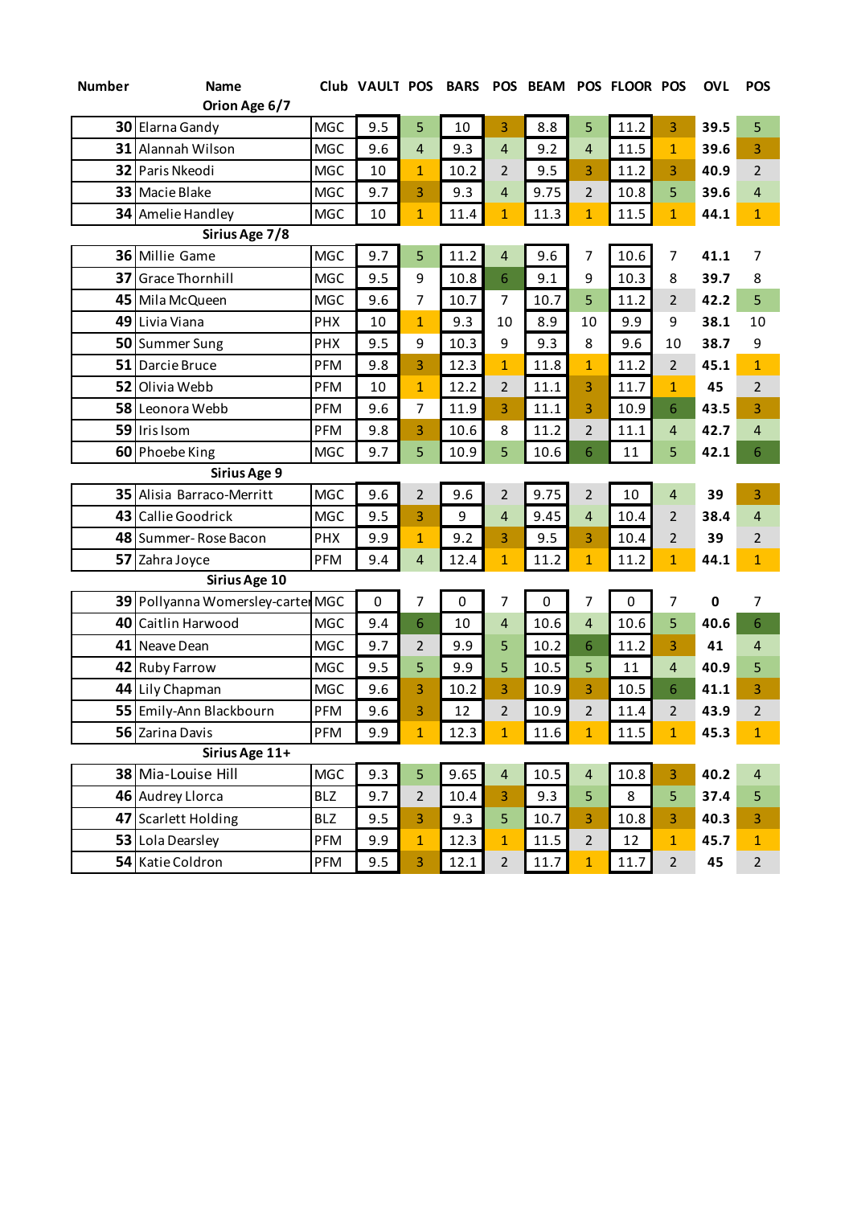| <b>Number</b> | <b>Name</b>                       |            | Club VAULT POS |                | <b>BARS</b> | <b>POS</b>     | <b>BEAM</b> |                | POS FLOOR POS |                | <b>OVL</b>  | <b>POS</b>     |
|---------------|-----------------------------------|------------|----------------|----------------|-------------|----------------|-------------|----------------|---------------|----------------|-------------|----------------|
|               | Orion Age 6/7                     |            |                |                |             |                |             |                |               |                |             |                |
|               | 30 Elarna Gandy                   | <b>MGC</b> | 9.5            | 5              | 10          | 3              | 8.8         | 5              | 11.2          | 3              | 39.5        | 5              |
| 31            | Alannah Wilson                    | <b>MGC</b> | 9.6            | 4              | 9.3         | 4              | 9.2         | 4              | 11.5          | $\mathbf{1}$   | 39.6        | 3              |
| 32            | Paris Nkeodi                      | <b>MGC</b> | 10             | $\mathbf{1}$   | 10.2        | $\overline{2}$ | 9.5         | 3              | 11.2          | 3              | 40.9        | $\overline{2}$ |
| 33            | Macie Blake                       | <b>MGC</b> | 9.7            | 3              | 9.3         | 4              | 9.75        | $\overline{2}$ | 10.8          | 5              | 39.6        | 4              |
|               | 34 Amelie Handley                 | <b>MGC</b> | 10             | $\mathbf{1}$   | 11.4        | $\mathbf{1}$   | 11.3        | $\mathbf{1}$   | 11.5          | $\mathbf{1}$   | 44.1        | $\mathbf{1}$   |
|               | Sirius Age 7/8                    |            |                |                |             |                |             |                |               |                |             |                |
|               | 36 Millie Game                    | <b>MGC</b> | 9.7            | 5              | 11.2        | $\overline{4}$ | 9.6         | 7              | 10.6          | 7              | 41.1        | 7              |
| 37            | <b>Grace Thornhill</b>            | <b>MGC</b> | 9.5            | 9              | 10.8        | 6              | 9.1         | 9              | 10.3          | 8              | 39.7        | 8              |
| 45            | Mila McQueen                      | <b>MGC</b> | 9.6            | 7              | 10.7        | $\overline{7}$ | 10.7        | 5              | 11.2          | $\overline{2}$ | 42.2        | 5              |
|               | 49 Livia Viana                    | <b>PHX</b> | 10             | $\mathbf{1}$   | 9.3         | 10             | 8.9         | 10             | 9.9           | 9              | 38.1        | 10             |
|               | 50 Summer Sung                    | PHX        | 9.5            | 9              | 10.3        | 9              | 9.3         | 8              | 9.6           | 10             | 38.7        | 9              |
| 51            | Darcie Bruce                      | <b>PFM</b> | 9.8            | 3              | 12.3        | $\mathbf{1}$   | 11.8        | $\mathbf{1}$   | 11.2          | $\overline{2}$ | 45.1        | $\overline{1}$ |
| 52            | Olivia Webb                       | PFM        | 10             | $\mathbf{1}$   | 12.2        | $\overline{2}$ | 11.1        | 3              | 11.7          | $\mathbf{1}$   | 45          | $\overline{2}$ |
|               | 58 Leonora Webb                   | PFM        | 9.6            | 7              | 11.9        | 3              | 11.1        | 3              | 10.9          | 6              | 43.5        | 3              |
|               | 59 Iris Isom                      | PFM        | 9.8            | 3              | 10.6        | 8              | 11.2        | $\overline{2}$ | 11.1          | $\overline{4}$ | 42.7        | $\overline{4}$ |
|               | 60 Phoebe King                    | <b>MGC</b> | 9.7            | 5              | 10.9        | 5              | 10.6        | 6              | 11            | 5              | 42.1        | 6              |
|               | Sirius Age 9                      |            |                |                |             |                |             |                |               |                |             |                |
|               | 35 Alisia Barraco-Merritt         | <b>MGC</b> | 9.6            | 2              | 9.6         | $\overline{2}$ | 9.75        | $\overline{2}$ | 10            | $\overline{4}$ | 39          | 3              |
|               | 43 Callie Goodrick                | <b>MGC</b> | 9.5            | 3              | 9           | 4              | 9.45        | $\overline{4}$ | 10.4          | $\overline{2}$ | 38.4        | $\overline{4}$ |
|               | 48 Summer-Rose Bacon              | <b>PHX</b> | 9.9            | $\mathbf{1}$   | 9.2         | 3              | 9.5         | 3              | 10.4          | $\overline{2}$ | 39          | $\overline{2}$ |
| 57            | Zahra Joyce                       | PFM        | 9.4            | $\overline{4}$ | 12.4        | $\mathbf{1}$   | 11.2        | $\mathbf{1}$   | 11.2          | $\mathbf{1}$   | 44.1        | $\mathbf{1}$   |
|               | Sirius Age 10                     |            |                |                |             |                |             |                |               |                |             |                |
|               | 39 Pollyanna Womersley-carter MGC |            | $\mathbf 0$    | 7              | 0           | 7              | 0           | 7              | 0             | 7              | $\mathbf 0$ | 7              |
|               | 40 Caitlin Harwood                | <b>MGC</b> | 9.4            | 6              | 10          | 4              | 10.6        | 4              | 10.6          | 5              | 40.6        | 6              |
| 41            | Neave Dean                        | <b>MGC</b> | 9.7            | $\overline{2}$ | 9.9         | 5              | 10.2        | 6              | 11.2          | 3              | 41          | $\overline{4}$ |
| 42            | <b>Ruby Farrow</b>                | <b>MGC</b> | 9.5            | 5              | 9.9         | 5              | 10.5        | 5              | 11            | $\overline{a}$ | 40.9        | 5              |
|               | 44 Lily Chapman                   | <b>MGC</b> | 9.6            | 3              | 10.2        | 3              | 10.9        | 3              | 10.5          | 6              | 41.1        | 3              |
|               | 55 Emily-Ann Blackbourn           | PFM        | 9.6            | 3              | 12          | $\overline{2}$ | 10.9        | $\overline{2}$ | 11.4          | $\overline{2}$ | 43.9        | $\overline{2}$ |
|               | 56 Zarina Davis                   | PFM        | 9.9            | $\mathbf{1}$   | 12.3        | $\mathbf{1}$   | 11.6        | $\mathbf{1}$   | 11.5          | $\mathbf{1}$   | 45.3        | $\mathbf{1}$   |
|               | Sirius Age 11+                    |            |                |                |             |                |             |                |               |                |             |                |
|               | 38 Mia-Louise Hill                | <b>MGC</b> | 9.3            | 5              | 9.65        | $\overline{4}$ | 10.5        | $\overline{a}$ | 10.8          | 3              | 40.2        | 4              |
|               | 46 Audrey Llorca                  | <b>BLZ</b> | 9.7            | $\overline{2}$ | 10.4        | 3              | 9.3         | 5              | 8             | 5              | 37.4        | 5              |
|               | 47 Scarlett Holding               | <b>BLZ</b> | 9.5            | 3              | 9.3         | 5              | 10.7        | 3              | 10.8          | 3              | 40.3        | 3              |
|               | 53 Lola Dearsley                  | PFM        | 9.9            | $\mathbf{1}$   | 12.3        | $\mathbf{1}$   | 11.5        | $\overline{2}$ | 12            | $\mathbf{1}$   | 45.7        | $\mathbf 1$    |
|               | 54 Katie Coldron                  | PFM        | 9.5            | 3              | 12.1        | $\mathbf 2$    | 11.7        | $\mathbf{1}$   | 11.7          | $\overline{2}$ | 45          | $\overline{2}$ |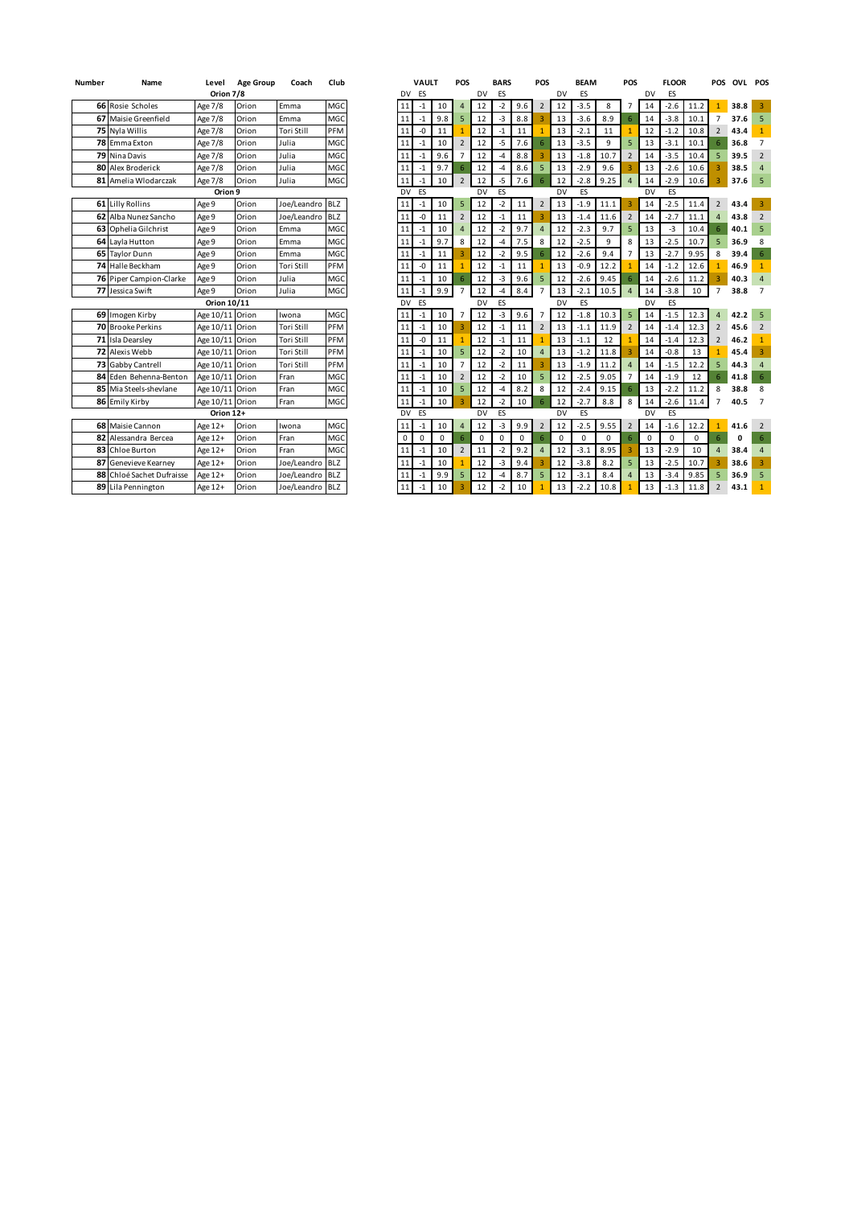| <b>Number</b> | Name                      | Level           | <b>Age Group</b> | Coach       | Club            |
|---------------|---------------------------|-----------------|------------------|-------------|-----------------|
|               |                           | Orion 7/8       |                  |             |                 |
|               | <b>66</b> Rosie Scholes   | Age 7/8         | Orion            | Emma        | MGC             |
|               | 67 Maisie Greenfield      | Age 7/8         | Orion            | Emma        | MGC             |
|               | 75 Nyla Willis            | Age 7/8         | Orion            | Tori Still  | PFM             |
|               | 78 Emma Exton             | Age 7/8         | Orion            | Julia       | MGC             |
|               | 79 Nina Davis             | Age 7/8         | Orion            | Julia       | MGC             |
|               | 80 Alex Broderick         | Age 7/8         | Orion            | Julia       | MGC             |
| 81            | Amelia Wlodarczak         | Age 7/8         | Orion            | Julia       | MGC             |
|               |                           | Orion 9         |                  |             |                 |
|               | 61 Lilly Rollins          | Age 9           | Orion            | Joe/Leandro | <b>BLZ</b>      |
|               | 62 Alba Nunez Sancho      | Age 9           | Orion            | Joe/Leandro | BI <sub>Z</sub> |
|               | 63 Ophelia Gilchrist      | Age 9           | Orion            | Emma        | MGC             |
|               | 64 Layla Hutton           | Age 9           | Orion            | Emma        | MGC             |
|               | 65 Taylor Dunn            | Age 9           | Orion            | Emma        | MGC             |
|               | 74 Halle Beckham          | Age 9           | Orion            | Tori Still  | PFM             |
|               | 76 Piper Campion-Clarke   | Age 9           | Orion            | Julia       | MGC             |
|               | 77 Jessica Swift          | Age 9           | Orion            | Julia       | MGC             |
|               |                           | Orion 10/11     |                  |             |                 |
|               | 69 Imogen Kirby           | Age 10/11 Orion |                  | Iwona       | MGC             |
|               | 70 Brooke Perkins         | Age 10/11 Orion |                  | Tori Still  | PFM             |
|               | 71 Isla Dearsley          | Age 10/11 Orion |                  | Tori Still  | PFM             |
|               | 72 Alexis Webb            | Age 10/11 Orion |                  | Tori Still  | PFM             |
|               | 73 Gabby Cantrell         | Age 10/11 Orion |                  | Tori Still  | PFM             |
|               | 84 Eden Behenna-Benton    | Age 10/11 Orion |                  | Fran        | MGC             |
|               | 85 Mia Steels-shevlane    | Age 10/11 Orion |                  | Fran        | MGC             |
| 86            | Emily Kirby               | Age 10/11       | Orion            | Fran        | MGC             |
|               |                           | Orion 12+       |                  |             |                 |
|               | 68 Maisie Cannon          | Age 12+         | Orion            | Iwona       | MGC             |
|               | 82 Alessandra Bercea      | Age 12+         | Orion            | Fran        | MGC             |
|               | 83 Chloe Burton           | Age 12+         | Orion            | Fran        | MGC             |
|               | 87 Genevieve Kearney      | Age 12+         | Orion            | Joe/Leandro | <b>BLZ</b>      |
|               | 88 Chloé Sachet Dufraisse | Age 12+         | Orion            | Joe/Leandro | <b>BLZ</b>      |
|               | 89 Lila Pennington        | Age 12+         | Orion            | Joe/Leandro | <b>BLZ</b>      |

| Number | Name                      | Level              | <b>Age Group</b> | Coach             | Club       |           | VAULT |             | POS            |             | <b>BARS</b> |          | POS            |    | <b>BEAM</b> |          | POS            |             | <b>FLOOR</b> |          |                          | POS OVL POS |                         |
|--------|---------------------------|--------------------|------------------|-------------------|------------|-----------|-------|-------------|----------------|-------------|-------------|----------|----------------|----|-------------|----------|----------------|-------------|--------------|----------|--------------------------|-------------|-------------------------|
|        |                           | Orion 7/8          |                  |                   |            | DV        | ES    |             |                | DV          | ES          |          |                | DV | ES          |          |                | DV          | ES           |          |                          |             |                         |
|        | 66 Rosie Scholes          | Age 7/8            | Orion            | Emma              | MGC        | 11        | $-1$  | 10          | $\overline{4}$ | 12          | $-2$        | 9.6      | $\overline{2}$ | 12 | $-3.5$      | 8        | $\overline{7}$ | 14          | $-2.6$       | 11.2     |                          | 38.8        | -3                      |
|        | 67 Maisie Greenfield      | Age 7/8            | Orion            | Emma              | MGC        | 11        | $-1$  | 9.8         | 5              | 12          | $-3$        | 8.8      |                | 13 | $-3.6$      | 8.9      | 6              | 14          | $-3.8$       | 10.1     | $\overline{7}$           | 37.6        | 5                       |
|        | 75 Nyla Willis            | Age 7/8            | Orion            | <b>Tori Still</b> | PFM        | 11        | -0    | 11          |                | 12          | $-1$        | 11       |                | 13 | $-2.1$      | 11       | 1              | 12          | $-1.2$       | 10.8     | $\overline{2}$           | 43.4        | $\mathbf{1}$            |
|        | 78 Emma Exton             | Age 7/8            | Orion            | Julia             | MGC        | 11        | $-1$  | 10          | $\overline{2}$ | 12          | $-5$        | 7.6      | 6              | 13 | $-3.5$      | 9        | 5              | 13          | $-3.1$       | 10.1     |                          | 36.8        | $\overline{7}$          |
|        | 79 Nina Davis             | Age 7/8            | Orion            | Julia             | MGC        | 11        | $-1$  | 9.6         | $\overline{7}$ | 12          | -4          | 8.8      |                | 13 | $-1.8$      | 10.7     | $\overline{2}$ | 14          | $-3.5$       | 10.4     |                          | 39.5        | $\overline{2}$          |
|        | 80 Alex Broderick         | Age 7/8            | Orion            | Julia             | MGC        | 11        | $-1$  | 9.7         | 6              | 12          | -4          | 8.6      | 5              | 13 | $-2.9$      | 9.6      | 3              | 13          | $-2.6$       | 10.6     |                          | 38.5        | $\overline{a}$          |
|        | 81 Amelia Wlodarczak      | Age 7/8            | Orion            | Julia             | MGC        | 11        | $-1$  | 10          | $\overline{2}$ | 12          | -5          | 7.6      |                | 12 | $-2.8$      | 9.25     | $\overline{4}$ | 14          | $-2.9$       | 10.6     |                          | 37.6        | 5                       |
|        |                           | Orion <sub>9</sub> |                  |                   |            | DV        | ES    |             |                | DV          | ES          |          |                | DV | ES          |          |                | DV          | ES           |          |                          |             |                         |
|        | 61 Lilly Rollins          | Age 9              | Orion            | Joe/Leandro       | <b>BLZ</b> | 11        | $-1$  | 10          | 5              | 12          | $-2$        | 11       | $\overline{2}$ | 13 | $-1.9$      | 11.1     | $\overline{3}$ | 14          | $-2.5$       | 11.4     | $\overline{2}$           | 43.4        | $\overline{3}$          |
|        | 62 Alba Nunez Sancho      | Age 9              | Orion            | Joe/Leandro       | <b>BLZ</b> | 11        | -0    | 11          | $\overline{2}$ | 12          | $-1$        | 11       |                | 13 | $-1.4$      | 11.6     | $\overline{2}$ | 14          | $-2.7$       | 11.1     |                          | 43.8        | 2                       |
|        | 63 Ophelia Gilchrist      | Age 9              | Orion            | Emma              | MGC        | 11        | $-1$  | 10          | $\overline{a}$ | 12          | $-2$        | 9.7      | 4              | 12 | $-2.3$      | 9.7      | 5              | 13          | -3           | 10.4     |                          | 40.1        | 5                       |
|        | 64 Layla Hutton           | Age 9              | Orion            | Emma              | MGC        | 11        | $-1$  | 9.7         | 8              | 12          | -4          | 7.5      | 8              | 12 | $-2.5$      | 9        | 8              | 13          | $-2.5$       | 10.7     | 5                        | 36.9        | 8                       |
|        | 65 Taylor Dunn            | Age 9              | Orion            | Emma              | MGC        | 11        | $-1$  | 11          | $\overline{3}$ | 12          | $-2$        | 9.5      | 6              | 12 | $-2.6$      | 9.4      | $\overline{7}$ | 13          | $-2.7$       | 9.95     | 8                        | 39.4        | $6\phantom{1}$          |
|        | 74 Halle Beckham          | Age 9              | Orion            | <b>Tori Still</b> | PFM        | 11        | -0    | 11          | $\mathbf{1}$   | 12          | $-1$        | 11       |                | 13 | $-0.9$      | 12.2     | $\overline{1}$ | 14          | $-1.2$       | 12.6     |                          | 46.9        | $\mathbf{1}$            |
|        | 76 Piper Campion-Clarke   | Age 9              | Orion            | Julia             | MGC        | 11        | $-1$  | 10          | 6              | 12          | -3          | 9.6      | 5              | 12 | $-2.6$      | 9.45     | 6              | 14          | $-2.6$       | 11.2     |                          | 40.3        | $\overline{a}$          |
|        | 77 Jessica Swift          | Age 9              | Orion            | Julia             | MGC        | 11        | $-1$  | 9.9         | $\overline{7}$ | 12          | $-4$        | 8.4      |                | 13 | $-2.1$      | 10.5     | $\overline{4}$ | 14          | $-3.8$       | 10       | $\overline{7}$           | 38.8        | $\overline{7}$          |
|        |                           | Orion 10/11        |                  |                   |            | DV        | ES    |             |                | DV          | ES          |          |                | DV | ES          |          |                | DV          | ES           |          |                          |             |                         |
|        | 69 Imogen Kirby           | Age 10/11 Orion    |                  | Iwona             | MGC        | 11        | $-1$  | 10          | 7              | 12          | $-3$        | 9.6      |                | 12 | $-1.8$      | 10.3     | 5              | 14          | $-1.5$       | 12.3     |                          | 42.2        | 5                       |
|        | 70 Brooke Perkins         | Age 10/11 Orion    |                  | Tori Still        | PFM        | 11        | $-1$  | 10          | $\overline{3}$ | 12          | $-1$        | 11       | $\overline{2}$ | 13 | $-1.1$      | 11.9     | $\overline{2}$ | 14          | $-1.4$       | 12.3     | $\overline{\phantom{0}}$ | 45.6        | $\overline{2}$          |
|        | 71 Isla Dearsley          | Age 10/11 Orion    |                  | Tori Still        | PFM        | 11        | -0    | 11          |                | 12          | $-1$        | 11       |                | 13 | $-1.1$      | 12       |                | 14          | $-1.4$       | 12.3     |                          | 46.2        | $\mathbf{1}$            |
|        | 72 Alexis Webb            | Age 10/11 Orion    |                  | <b>Tori Still</b> | PFM        | 11        | $-1$  | 10          | 5              | 12          | $-2$        | 10       | $\Delta$       | 13 | $-1.2$      | 11.8     |                | 14          | $-0.8$       | 13       |                          | 45.4        | $\overline{\mathbf{3}}$ |
|        | 73 Gabby Cantrell         | Age 10/11 Orion    |                  | Tori Still        | PFM        | 11        | $-1$  | 10          | $\overline{7}$ | 12          | $-2$        | 11       |                | 13 | $-1.9$      | 11.2     | $\overline{4}$ | 14          | $-1.5$       | 12.2     | 5                        | 44.3        | $\overline{4}$          |
|        | 84 Eden Behenna-Benton    | Age 10/11 Orion    |                  | Fran              | MGC        | 11        | $-1$  | 10          | $\overline{2}$ | 12          | $-2$        | 10       | 5              | 12 | $-2.5$      | 9.05     | $\overline{7}$ | 14          | $-1.9$       | 12       | 6                        | 41.8        | $\sqrt{6}$              |
|        | 85 Mia Steels-shevlane    | Age 10/11 Orion    |                  | Fran              | MGC        | 11        | $-1$  | 10          | 5              | 12          | -4          | 8.2      | 8              | 12 | $-2.4$      | 9.15     | $\sqrt{6}$     | 13          | $-2.2$       | 11.2     | 8                        | 38.8        | 8                       |
|        | 86 Emily Kirby            | Age 10/11 Orion    |                  | Fran              | MGC        | 11        | $-1$  | 10          |                | 12          | $-2$        | 10       |                | 12 | $-2.7$      | 8.8      | 8              | 14          | $-2.6$       | 11.4     | 7                        | 40.5        | $\overline{7}$          |
|        |                           | Orion 12+          |                  |                   |            | <b>DV</b> | ES    |             |                | <b>DV</b>   | ES          |          |                | DV | ES          |          |                | DV          | ES           |          |                          |             |                         |
|        | 68 Maisie Cannon          | Age 12+            | Orion            | Iwona             | MGC        | 11        | $-1$  | 10          | $\overline{4}$ | 12          | -3          | 9.9      | $\overline{2}$ | 12 | $-2.5$      | 9.55     | $\overline{2}$ | 14          | $-1.6$       | 12.2     |                          | 41.6        | $\overline{2}$          |
|        | 82 Alessandra Bercea      | Age 12+            | Orion            | Fran              | MGC        | 0         | 0     | $\mathbf 0$ | 6              | $\mathbf 0$ | $\Omega$    | $\Omega$ | 6              | 0  | $\Omega$    | $\Omega$ | 6              | $\mathbf 0$ | $\Omega$     | $\Omega$ | 6                        | 0           | 6                       |
|        | 83 Chloe Burton           | Age 12+            | Orion            | Fran              | MGC        | 11        | $-1$  | 10          | $\overline{2}$ | 11          | $-2$        | 9.2      | 4              | 12 | $-3.1$      | 8.95     | 3              | 13          | $-2.9$       | 10       |                          | 38.4        | $\overline{4}$          |
| 87     | Genevieve Kearney         | Age 12+            | Orion            | Joe/Leandro       | <b>BLZ</b> | 11        | $-1$  | 10          |                | 12          | -3          | 9.4      |                | 12 | $-3.8$      | 8.2      | 5              | 13          | $-2.5$       | 10.7     |                          | 38.6        | $\overline{3}$          |
|        | 88 Chloé Sachet Dufraisse | Age 12+            | Orion            | Joe/Leandro       | <b>BLZ</b> | 11        | $-1$  | 9.9         | 5              | 12          | $-4$        | 8.7      | 5              | 12 | $-3.1$      | 8.4      | $\overline{a}$ | 13          | $-3.4$       | 9.85     |                          | 36.9        | 5                       |
|        | 89 Lila Pennington        | Age 12+            | Orion            | Joe/Leandro       | <b>BLZ</b> | 11        | $-1$  | 10          |                | 12          | $-2$        | 10       |                | 13 | $-2.2$      | 10.8     |                | 13          | $-1.3$       | 11.8     |                          | 43.1        | $\mathbf{1}$            |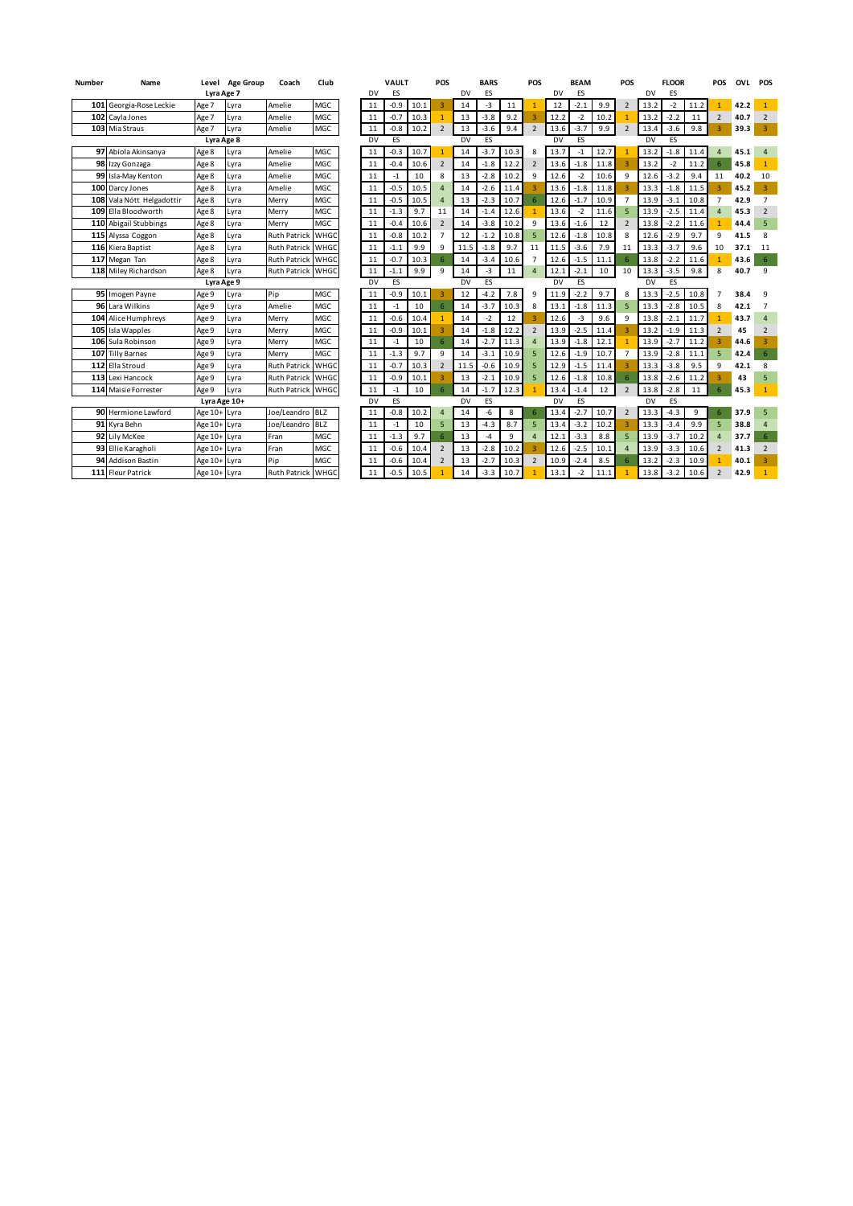| <b>Number</b> | Name                      | Level        | <b>Age Group</b> | Coach               | Club        |    | <b>VAULT</b> |      | POS                     |    | <b>BARS</b> |           | POS                     |      | <b>BEAM</b> |      | POS                      |      | <b>FLOOR</b> |      | POS            | OVL  | POS            |
|---------------|---------------------------|--------------|------------------|---------------------|-------------|----|--------------|------|-------------------------|----|-------------|-----------|-------------------------|------|-------------|------|--------------------------|------|--------------|------|----------------|------|----------------|
|               |                           | Lyra Age 7   |                  |                     |             | DV | ES           |      |                         | DV | ES          |           |                         | DV   | ES          |      |                          | DV   | ES           |      |                |      |                |
| 101           | Georgia-Rose Leckie       | Age 7        | Lyra             | Amelie              | <b>MGC</b>  | 11 | $-0.9$       | 10.1 | $\overline{3}$          | 14 | -3          | 11        |                         | 12   | $-2.1$      | 9.9  | $\overline{\phantom{0}}$ | 13.2 | $-2$         | 11.2 |                | 42.2 | $\mathbf{1}$   |
| 102           | Cavla Jones               | Age 7        | Lyra             | Amelie              | MGC         | 11 | $-0.7$       | 10.3 | $\mathbf{1}$            | 13 | $-3.8$      | 9.2       |                         | 12.2 | $-2$        | 10.2 |                          | 13.2 | $-2.2$       | 11   | $\overline{2}$ | 40.7 | $\overline{2}$ |
|               | 103 Mia Straus            | Age 7        | Lyra             | Amelie              | MGC         | 11 | $-0.8$       | 10.2 | $\overline{2}$          | 13 | $-3.6$      | 9.4       | $\overline{2}$          | 13.6 | $-3.7$      | 9.9  | $\overline{\mathbf{z}}$  | 13.4 | $-3.6$       | 9.8  |                | 39.3 | 3              |
| Lyra Age 8    |                           |              |                  | <b>DV</b>           | <b>ES</b>   |    |              | DV   | ES                      |    |             | <b>DV</b> | <b>FS</b>               |      |             | DV   | ES                       |      |              |      |                |      |                |
|               | 97 Abiola Akinsanya       | Age 8        | Lyra             | Amelie              | MGC         | 11 | $-0.3$       | 10.7 | $\overline{1}$          | 14 | $-3.7$      | 10.3      | 8                       | 13.7 | -1          | 12.7 |                          | 13.2 | $-1.8$       | 11.4 | $\overline{4}$ | 45.1 | $\overline{4}$ |
|               | 98 Izzy Gonzaga           | Age 8        | Lyra             | Amelie              | MGC         | 11 | $-0.4$       | 10.6 | $\overline{2}$          | 14 | $-1.8$      | 12.2      | $\overline{\mathbf{c}}$ | 13.6 | $-1.8$      | 11.8 |                          | 13.2 | $-2$         | 11.2 | 6              | 45.8 | $\mathbf{1}$   |
|               | 99 Isla-May Kenton        | Age 8        | Lyra             | Amelie              | MGC         | 11 | $-1$         | 10   | 8                       | 13 | $-2.8$      | 10.2      | 9                       | 12.6 | $-2$        | 10.6 | 9                        | 12.6 | $-3.2$       | 9.4  | 11             | 40.2 | 10             |
| 100           | Darcy Jones               | Age 8        | Lyra             | Amelie              | MGC         | 11 | $-0.5$       | 10.5 | $\Delta$                | 14 | $-2.6$      | 11.4      |                         | 13.6 | $-1.8$      | 11.8 |                          | 13.3 | $-1.8$       | 11.5 | $\overline{3}$ | 45.2 | $\overline{3}$ |
|               | 108 Vala Nótt Helgadottir | Age 8        | Lyra             | Merry               | MGC         | 11 | $-0.5$       | 10.5 | $\Delta$                | 13 | $-2.3$      | 10.7      | 6                       | 12.6 | $-1.7$      | 10.9 |                          | 13.9 | $-3.1$       | 10.8 | $\overline{7}$ | 42.9 | $\overline{7}$ |
|               | 109 Ella Bloodworth       | Age 8        | Lyra             | Merry               | MGC         | 11 | $-1.3$       | 9.7  | 11                      | 14 | $-1.4$      | 12.6      |                         | 13.6 | $-2$        | 11.6 | 5                        | 13.9 | $-2.5$       | 11.4 | $\overline{a}$ | 45.3 | $\overline{2}$ |
|               | 110 Abigail Stubbings     | Age 8        | Lyra             | Merry               | <b>MGC</b>  | 11 | $-0.4$       | 10.6 | $\overline{2}$          | 14 | $-3.8$      | 10.2      | 9                       | 13.6 | $-1.6$      | 12   | $\overline{\phantom{a}}$ | 13.8 | $-2.2$       | 11.6 | $\mathbf{1}$   | 44.4 | 5              |
| 115           | Alyssa Coggon             | Age 8        | Lyra             | <b>Ruth Patrick</b> | <b>WHGC</b> | 11 | $-0.8$       | 10.2 | $\overline{7}$          | 12 | $-1.2$      | 10.8      |                         | 12.6 | $-1.8$      | 10.8 | 8                        | 12.6 | $-2.9$       | 9.7  | 9              | 41.5 | 8              |
| 116           | Kiera Baptist             | Age 8        | Lyra             | <b>Ruth Patrick</b> | <b>WHGC</b> | 11 | $-1.1$       | 9.9  | 9                       | 11 | $-1.8$      | 9.7       | 11                      | 11.5 | $-3.6$      | 7.9  | 11                       | 13.3 | $-3.7$       | 9.6  | 10             | 37.1 | 11             |
| 117           | Megan Tan                 | Age 8        | Lyra             | <b>Ruth Patrick</b> | WHGC        | 11 | $-0.7$       | 10.3 | 6                       | 14 | $-3.4$      | 10.6      |                         | 12.6 | $-1.5$      | 11.1 |                          | 13.8 | $-2.2$       | 11.6 |                | 43.6 | 6              |
|               | 118 Miley Richardson      | Age 8        | Lyra             | <b>Ruth Patrick</b> | WHGC        | 11 | $-1.1$       | 9.9  | 9                       | 14 | $-3$        | 11        | 4                       | 12.1 | $-2.1$      | 10   | 10                       | 13.3 | $-3.5$       | 9.8  | 8              | 40.7 | 9              |
| Lyra Age 9    |                           |              |                  | DV                  | <b>ES</b>   |    |              | DV   | <b>ES</b>               |    |             | <b>DV</b> | <b>FS</b>               |      |             | DV   | ES                       |      |              |      |                |      |                |
|               | 95 Imogen Payne           | Age 9        | Lyra             | Pip                 | MGC.        | 11 | $-0.9$       | 10.1 | $\overline{3}$          | 12 | $-4.2$      | 7.8       | 9                       | 11.9 | $-2.2$      | 9.7  | 8                        | 13.3 | $-2.5$       | 10.8 | 7              | 38.4 | 9              |
|               | 96 Lara Wilkins           | Age 9        | Lyra             | Amelie              | MGC         | 11 | $-1$         | 10   | 6                       | 14 | $-3.7$      | 10.3      | 8                       | 13.1 | $-1.8$      | 11.3 | 5                        | 13.3 | $-2.8$       | 10.5 | 8              | 42.1 | $\overline{7}$ |
| 104           | Alice Humphreys           | Age 9        | Lyra             | Merry               | MGC         | 11 | $-0.6$       | 10.4 | $\mathbf{1}$            | 14 | $-2$        | 12        |                         | 12.6 | $-3$        | 9.6  | 9                        | 13.8 | $-2.1$       | 11.7 | $\overline{1}$ | 43.7 | $\overline{4}$ |
| 105           | Isla Wapples              | Age 9        | Lyra             | Merry               | MGC         | 11 | $-0.9$       | 10.1 | $\overline{3}$          | 14 | $-1.8$      | 12.2      | $\overline{\mathbf{c}}$ | 13.9 | $-2.5$      | 11.4 |                          | 13.2 | $-1.9$       | 11.3 | $\overline{2}$ | 45   | $\overline{2}$ |
|               | 106 Sula Robinson         | Age 9        | Lyra             | Merry               | MGC         | 11 | $-1$         | 10   | 6                       | 14 | $-2.7$      | 11.3      |                         | 13.9 | $-1.8$      | 12.1 |                          | 13.9 | $-2.7$       | 11.2 | $\overline{3}$ | 44.6 | 3              |
| 107           | <b>Tilly Barnes</b>       | Age 9        | Lyra             | Merry               | MGC         | 11 | $-1.3$       | 9.7  | 9                       | 14 | $-3.1$      | 10.9      |                         | 12.6 | $-1.9$      | 10.7 | $\overline{ }$           | 13.9 | $-2.8$       | 11.1 | 5              | 42.4 | 6              |
| 112           | Ella Stroud               | Age 9        | Lyra             | <b>Ruth Patrick</b> | <b>WHGC</b> | 11 | $-0.7$       | 10.3 | $\overline{2}$          | 11 | $-0.6$      | 10.9      |                         | 12.9 | $-1.5$      | 11.4 |                          | 13.3 | $-3.8$       | 9.5  | 9              | 42.1 | 8              |
| 113           | Lexi Hancock              | Age 9        | Lyra             | <b>Ruth Patrick</b> | <b>WHGC</b> | 11 | $-0.9$       | 10.1 | $\overline{\mathbf{a}}$ | 13 | $-2.1$      | 10.9      |                         | 12.6 | $-1.8$      | 10.8 |                          | 13.8 | $-2.6$       | 11.2 |                | 43   | 5              |
|               | 114 Maisie Forrester      | Age 9        | Lyra             | <b>Ruth Patrick</b> | WHGC        | 11 | $-1$         | 10   | 6                       | 14 | $-1.7$      | 12.3      |                         | 13.4 | $-1.4$      | 12   | $\overline{2}$           | 13.8 | $-2.8$       | 11   | 6              | 45.3 | $\mathbf{1}$   |
| Lyra Age 10+  |                           |              |                  | DV                  | <b>ES</b>   |    |              | DV   | ES                      |    |             | DV        | <b>ES</b>               |      |             | DV   | ES                       |      |              |      |                |      |                |
|               | 90 Hermione Lawford       | Age 10+ Lyra |                  | Joe/Leandro BLZ     |             | 11 | $-0.8$       | 10.2 | $\Delta$                | 14 | $-6$        | 8         | 6                       | 13.4 | $-2.7$      | 10.7 |                          | 13.3 | $-4.3$       | 9    | 6              | 37.9 | 5              |
|               | 91 Kyra Behn              | Age 10+ Lyra |                  | Joe/Leandro         | <b>BLZ</b>  | 11 | $-1$         | 10   | 5                       | 13 | $-4.3$      | 8.7       | 5                       | 13.4 | $-3.2$      | 10.2 |                          | 13.3 | $-3.4$       | 9.9  | 5              | 38.8 | $\overline{4}$ |
|               | 92 Lily McKee             | Age 10+ Lyra |                  | Fran                | MGC         | 11 | $-1.3$       | 9.7  | 6                       | 13 | $-4$        | 9         |                         | 12.1 | $-3.3$      | 8.8  |                          | 13.9 | $-3.7$       | 10.2 | $\overline{4}$ | 37.7 | 6              |
|               | 93 Ellie Karagholi        | Age 10+ Lyra |                  | Fran                | MGC         | 11 | $-0.6$       | 10.4 | $\overline{\mathbf{c}}$ | 13 | $-2.8$      | 10.2      |                         | 12.6 | $-2.5$      | 10.1 |                          | 13.9 | $-3.3$       | 10.6 | $\overline{2}$ | 41.3 | $\overline{2}$ |
| 94            | <b>Addison Bastin</b>     | Age 10+ Lyra |                  | Pip                 | MGC         | 11 | $-0.6$       | 10.4 | $\overline{\mathbf{z}}$ | 13 | $-2.7$      | 10.3      | $\overline{\mathbf{c}}$ | 10.9 | $-2.4$      | 8.5  |                          | 13.2 | $-2.3$       | 10.9 | $\mathbf{1}$   | 40.1 | $\overline{3}$ |
| 111           | <b>Fleur Patrick</b>      | Age 10+ Lyra |                  | <b>Ruth Patrick</b> | WHGC        | 11 | $-0.5$       | 10.5 |                         | 14 | $-3.3$      | 10.7      |                         | 13.1 | $-2$        | 11.1 |                          | 13.8 | $-3.2$       | 10.6 | $\overline{2}$ | 42.9 | $\mathbf{1}$   |
|               |                           |              |                  |                     |             |    |              |      |                         |    |             |           |                         |      |             |      |                          |      |              |      |                |      |                |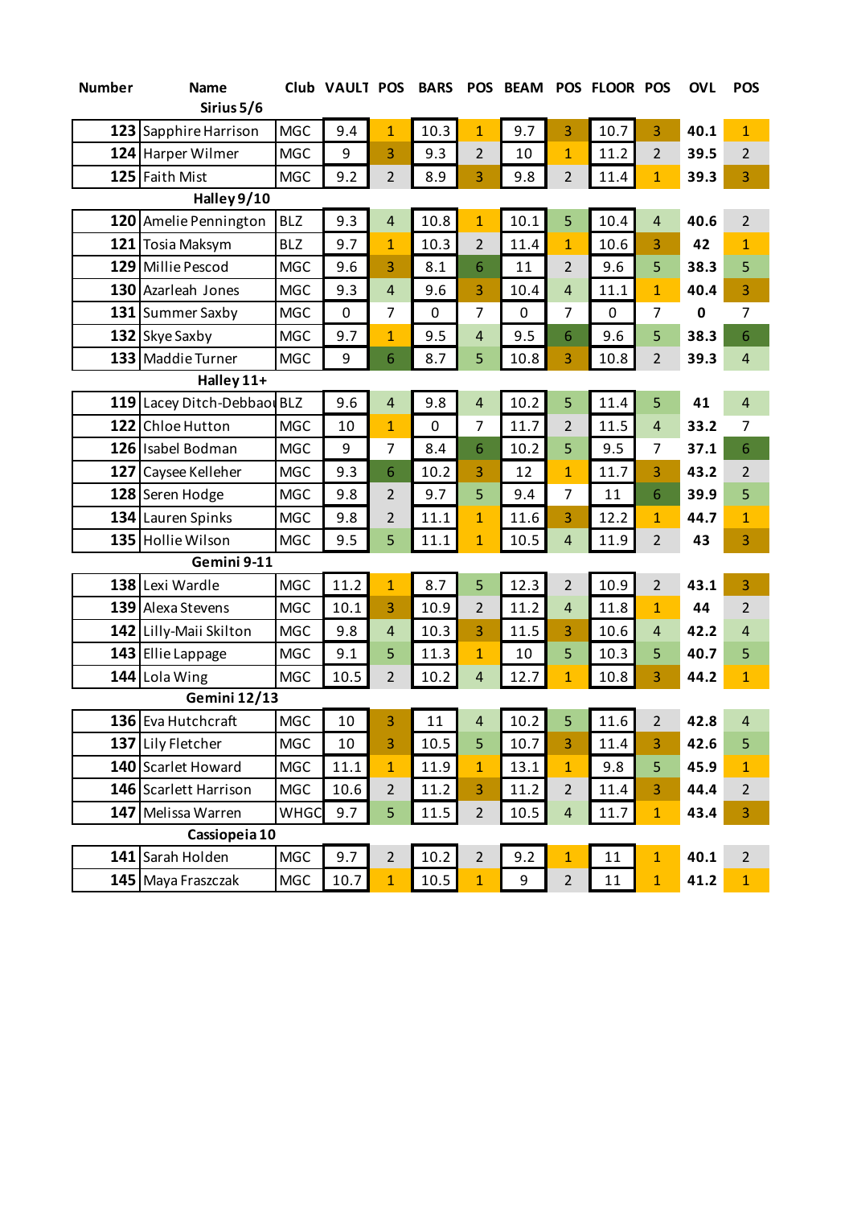| <b>Number</b> | <b>Name</b>                 |             | Club VAULT POS |                | <b>BARS</b> | <b>POS</b>              |      |                | <b>BEAM POS FLOOR POS</b> |                | <b>OVL</b> | <b>POS</b>     |
|---------------|-----------------------------|-------------|----------------|----------------|-------------|-------------------------|------|----------------|---------------------------|----------------|------------|----------------|
|               | Sirius 5/6                  |             |                |                |             |                         |      |                |                           |                |            |                |
| 123           | Sapphire Harrison           | <b>MGC</b>  | 9.4            | $\mathbf{1}$   | 10.3        | $\mathbf{1}$            | 9.7  | 3              | 10.7                      | 3              | 40.1       | $\mathbf{1}$   |
|               | 124 Harper Wilmer           | <b>MGC</b>  | 9              | 3              | 9.3         | $\overline{2}$          | 10   | $\overline{1}$ | 11.2                      | $\overline{2}$ | 39.5       | $\overline{2}$ |
|               | 125 Faith Mist              | <b>MGC</b>  | 9.2            | $\overline{2}$ | 8.9         | 3                       | 9.8  | $\overline{2}$ | 11.4                      | $\mathbf{1}$   | 39.3       | 3              |
|               | Halley 9/10                 |             |                |                |             |                         |      |                |                           |                |            |                |
| 120           | Amelie Pennington           | <b>BLZ</b>  | 9.3            | $\overline{4}$ | 10.8        | $\mathbf{1}$            | 10.1 | 5              | 10.4                      | $\overline{4}$ | 40.6       | $\overline{2}$ |
|               | 121 Tosia Maksym            | <b>BLZ</b>  | 9.7            | $\overline{1}$ | 10.3        | $\overline{2}$          | 11.4 | $\mathbf{1}$   | 10.6                      | 3              | 42         | $\overline{1}$ |
|               | 129 Millie Pescod           | <b>MGC</b>  | 9.6            | 3              | 8.1         | 6                       | 11   | $\overline{2}$ | 9.6                       | 5              | 38.3       | 5              |
|               | 130 Azarleah Jones          | <b>MGC</b>  | 9.3            | $\overline{4}$ | 9.6         | 3                       | 10.4 | $\overline{4}$ | 11.1                      | $\mathbf{1}$   | 40.4       | 3              |
|               | 131 Summer Saxby            | <b>MGC</b>  | 0              | 7              | 0           | 7                       | 0    | $\overline{7}$ | 0                         | $\overline{7}$ | 0          | $\overline{7}$ |
|               | 132 Skye Saxby              | <b>MGC</b>  | 9.7            | $\mathbf{1}$   | 9.5         | 4                       | 9.5  | 6              | 9.6                       | 5              | 38.3       | 6              |
|               | 133 Maddie Turner           | <b>MGC</b>  | 9              | 6              | 8.7         | 5                       | 10.8 | 3              | 10.8                      | $\overline{2}$ | 39.3       | $\overline{4}$ |
| Halley 11+    |                             |             |                |                |             |                         |      |                |                           |                |            |                |
|               | 119 Lacey Ditch-Debbaou BLZ |             | 9.6            | $\overline{4}$ | 9.8         | $\overline{4}$          | 10.2 | 5              | 11.4                      | 5              | 41         | 4              |
| 122           | Chloe Hutton                | <b>MGC</b>  | 10             | $\overline{1}$ | 0           | 7                       | 11.7 | $\overline{2}$ | 11.5                      | $\overline{4}$ | 33.2       | 7              |
|               | 126 Isabel Bodman           | <b>MGC</b>  | 9              | $\overline{7}$ | 8.4         | 6                       | 10.2 | 5              | 9.5                       | $\overline{7}$ | 37.1       | 6              |
| 127           | Caysee Kelleher             | <b>MGC</b>  | 9.3            | 6              | 10.2        | 3                       | 12   | $\mathbf{1}$   | 11.7                      | 3              | 43.2       | 2              |
|               | 128 Seren Hodge             | <b>MGC</b>  | 9.8            | 2              | 9.7         | 5                       | 9.4  | $\overline{7}$ | 11                        | 6              | 39.9       | 5              |
|               | 134 Lauren Spinks           | <b>MGC</b>  | 9.8            | 2              | 11.1        | $\mathbf{1}$            | 11.6 | 3              | 12.2                      | $\mathbf{1}$   | 44.7       | $\mathbf{1}$   |
|               | 135 Hollie Wilson           | <b>MGC</b>  | 9.5            | 5              | 11.1        | $\mathbf{1}$            | 10.5 | $\overline{4}$ | 11.9                      | $\overline{2}$ | 43         | 3              |
|               | Gemini 9-11                 |             |                |                |             |                         |      |                |                           |                |            |                |
| 138           | Lexi Wardle                 | <b>MGC</b>  | 11.2           | $\overline{1}$ | 8.7         | 5                       | 12.3 | $\overline{2}$ | 10.9                      | $\overline{2}$ | 43.1       | 3              |
|               | 139 Alexa Stevens           | <b>MGC</b>  | 10.1           | 3              | 10.9        | $\overline{2}$          | 11.2 | $\overline{4}$ | 11.8                      | $\mathbf{1}$   | 44         | $\overline{2}$ |
|               | 142 Lilly-Maii Skilton      | <b>MGC</b>  | 9.8            | $\overline{4}$ | 10.3        | 3                       | 11.5 | 3              | 10.6                      | $\overline{4}$ | 42.2       | $\overline{4}$ |
|               | 143 Ellie Lappage           | <b>MGC</b>  | 9.1            | 5              | 11.3        | $\overline{1}$          | 10   | 5              | 10.3                      | 5              | 40.7       | 5              |
|               | 144 Lola Wing               | <b>MGC</b>  | 10.5           | $\overline{2}$ | 10.2        | $\overline{4}$          | 12.7 | $\overline{1}$ | 10.8                      | 3              | 44.2       | $\mathbf{1}$   |
|               | <b>Gemini 12/13</b>         |             |                |                |             |                         |      |                |                           |                |            |                |
|               | 136 Eva Hutchcraft          | MGC         | 10             | 3              | 11          | $\overline{\mathbf{r}}$ | 10.2 | 5              | 11.6                      | $\overline{2}$ | 42.8       | $\overline{4}$ |
|               | 137 Lily Fletcher           | <b>MGC</b>  | 10             | 3              | 10.5        | 5                       | 10.7 | 3              | 11.4                      | 3              | 42.6       | 5              |
|               | 140 Scarlet Howard          | <b>MGC</b>  | 11.1           | $\mathbf{1}$   | 11.9        | $\mathbf{1}$            | 13.1 | $\mathbf{1}$   | 9.8                       | 5              | 45.9       | $\mathbf{1}$   |
|               | 146 Scarlett Harrison       | <b>MGC</b>  | 10.6           | $\overline{2}$ | 11.2        | 3                       | 11.2 | $\overline{2}$ | 11.4                      | 3              | 44.4       | $\overline{2}$ |
|               | 147 Melissa Warren          | <b>WHGC</b> | 9.7            | 5              | 11.5        | $\overline{2}$          | 10.5 | $\overline{4}$ | 11.7                      | $\mathbf{1}$   | 43.4       | 3              |
| Cassiopeia 10 |                             |             |                |                |             |                         |      |                |                           |                |            |                |
|               | 141 Sarah Holden            | <b>MGC</b>  | 9.7            | $\overline{2}$ | 10.2        | $\overline{2}$          | 9.2  | $\mathbf{1}$   | 11                        | $\mathbf{1}$   | 40.1       | $\overline{2}$ |
|               | 145 Maya Fraszczak          | <b>MGC</b>  | 10.7           | $\mathbf{1}$   | 10.5        | $\mathbf{1}$            | 9    | $\overline{2}$ | 11                        | $\mathbf{1}$   | 41.2       | $\mathbf{1}$   |